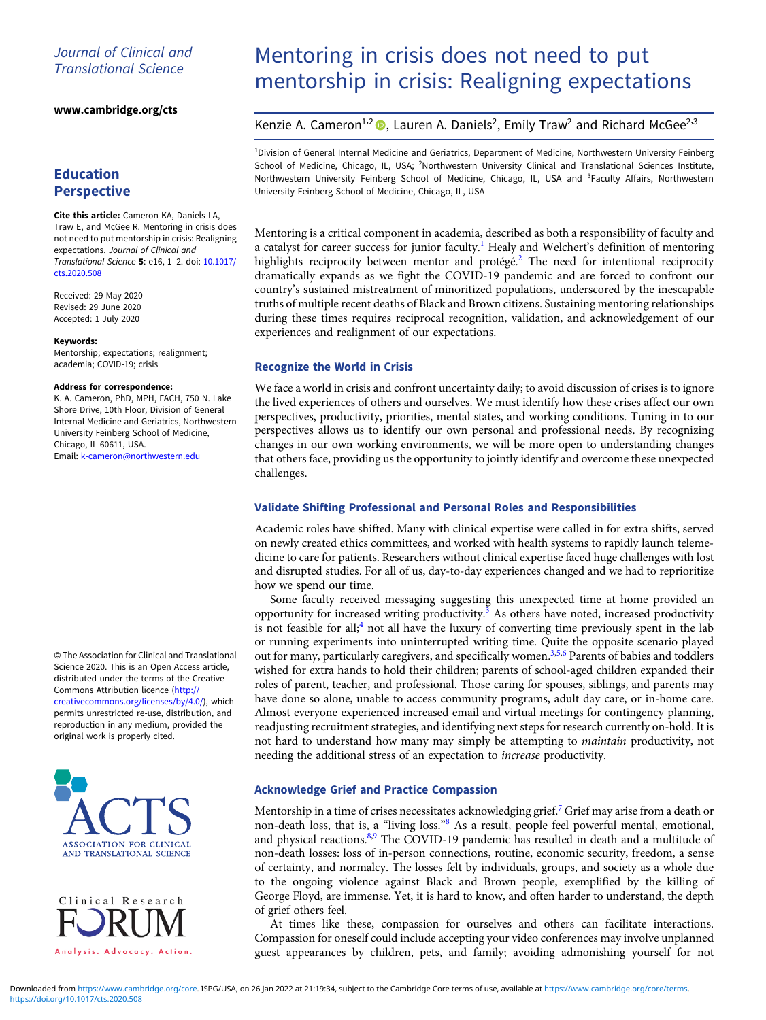## Journal of Clinical and Translational Science

[www.cambridge.org/cts](https://www.cambridge.org/cts)

# Education Perspective

Cite this article: Cameron KA, Daniels LA, Traw E, and McGee R. Mentoring in crisis does not need to put mentorship in crisis: Realigning expectations. Journal of Clinical and Translational Science 5: e16, 1–2. doi: [10.1017/](https://doi.org/10.1017/cts.2020.508) [cts.2020.508](https://doi.org/10.1017/cts.2020.508)

Received: 29 May 2020 Revised: 29 June 2020 Accepted: 1 July 2020

#### Keywords:

Mentorship; expectations; realignment; academia; COVID-19; crisis

#### Address for correspondence:

K. A. Cameron, PhD, MPH, FACH, 750 N. Lake Shore Drive, 10th Floor, Division of General Internal Medicine and Geriatrics, Northwestern University Feinberg School of Medicine, Chicago, IL 60611, USA.

Email: [k-cameron@northwestern.edu](mailto:k-cameron@northwestern.edu)

© The Association for Clinical and Translational Science 2020. This is an Open Access article, distributed under the terms of the Creative Commons Attribution licence ([http://](http://creativecommons.org/licenses/by/4.0/) [creativecommons.org/licenses/by/4.0/\)](http://creativecommons.org/licenses/by/4.0/), which permits unrestricted re-use, distribution, and reproduction in any medium, provided the original work is properly cited.





# Mentoring in crisis does not need to put mentorship in crisis: Realigning expectations

Kenzie A. Cameron<sup>1,2</sup> (D. Lauren A. Daniels<sup>2</sup>, Emily Traw<sup>2</sup> and Richard McGee<sup>2,3</sup>

<sup>1</sup>Division of General Internal Medicine and Geriatrics, Department of Medicine, Northwestern University Feinberg School of Medicine, Chicago, IL, USA; <sup>2</sup>Northwestern University Clinical and Translational Sciences Institute, Northwestern University Feinberg School of Medicine, Chicago, IL, USA and <sup>3</sup>Faculty Affairs, Northwestern University Feinberg School of Medicine, Chicago, IL, USA

Mentoring is a critical component in academia, described as both a responsibility of faculty and a catalyst for career success for junior faculty.<sup>[1](#page-1-0)</sup> Healy and Welchert's definition of mentoring highlights reciprocity between mentor and protégé.<sup>[2](#page-1-0)</sup> The need for intentional reciprocity dramatically expands as we fight the COVID-19 pandemic and are forced to confront our country's sustained mistreatment of minoritized populations, underscored by the inescapable truths of multiple recent deaths of Black and Brown citizens. Sustaining mentoring relationships during these times requires reciprocal recognition, validation, and acknowledgement of our experiences and realignment of our expectations.

## Recognize the World in Crisis

We face a world in crisis and confront uncertainty daily; to avoid discussion of crises is to ignore the lived experiences of others and ourselves. We must identify how these crises affect our own perspectives, productivity, priorities, mental states, and working conditions. Tuning in to our perspectives allows us to identify our own personal and professional needs. By recognizing changes in our own working environments, we will be more open to understanding changes that others face, providing us the opportunity to jointly identify and overcome these unexpected challenges.

#### Validate Shifting Professional and Personal Roles and Responsibilities

Academic roles have shifted. Many with clinical expertise were called in for extra shifts, served on newly created ethics committees, and worked with health systems to rapidly launch telemedicine to care for patients. Researchers without clinical expertise faced huge challenges with lost and disrupted studies. For all of us, day-to-day experiences changed and we had to reprioritize how we spend our time.

Some faculty received messaging suggesting this unexpected time at home provided an opportunity for increased writing productivity.<sup>[3](#page-1-0)</sup> As others have noted, increased productivity is not feasible for all;<sup>[4](#page-1-0)</sup> not all have the luxury of converting time previously spent in the lab or running experiments into uninterrupted writing time. Quite the opposite scenario played out for many, particularly caregivers, and specifically women.[3](#page-1-0),[5,6](#page-1-0) Parents of babies and toddlers wished for extra hands to hold their children; parents of school-aged children expanded their roles of parent, teacher, and professional. Those caring for spouses, siblings, and parents may have done so alone, unable to access community programs, adult day care, or in-home care. Almost everyone experienced increased email and virtual meetings for contingency planning, readjusting recruitment strategies, and identifying next steps for research currently on-hold. It is not hard to understand how many may simply be attempting to *maintain* productivity, not needing the additional stress of an expectation to increase productivity.

## Acknowledge Grief and Practice Compassion

Mentorship in a time of crises necessitates acknowledging grief.<sup>[7](#page-1-0)</sup> Grief may arise from a death or non-death loss, that is, a "living loss."[8](#page-1-0) As a result, people feel powerful mental, emotional, and physical reactions.<sup>[8,9](#page-1-0)</sup> The COVID-19 pandemic has resulted in death and a multitude of non-death losses: loss of in-person connections, routine, economic security, freedom, a sense of certainty, and normalcy. The losses felt by individuals, groups, and society as a whole due to the ongoing violence against Black and Brown people, exemplified by the killing of George Floyd, are immense. Yet, it is hard to know, and often harder to understand, the depth of grief others feel.

At times like these, compassion for ourselves and others can facilitate interactions. Compassion for oneself could include accepting your video conferences may involve unplanned guest appearances by children, pets, and family; avoiding admonishing yourself for not